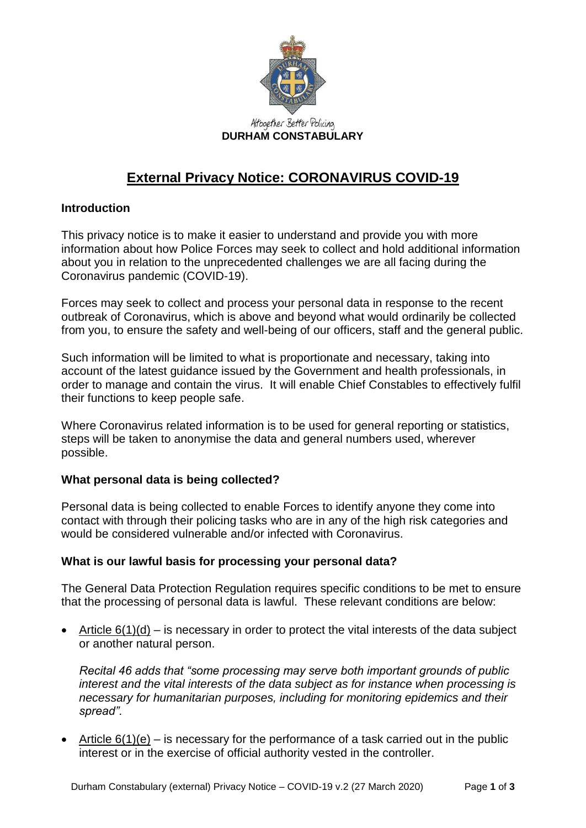

# **External Privacy Notice: CORONAVIRUS COVID-19**

### **Introduction**

This privacy notice is to make it easier to understand and provide you with more information about how Police Forces may seek to collect and hold additional information about you in relation to the unprecedented challenges we are all facing during the Coronavirus pandemic (COVID-19).

Forces may seek to collect and process your personal data in response to the recent outbreak of Coronavirus, which is above and beyond what would ordinarily be collected from you, to ensure the safety and well-being of our officers, staff and the general public.

Such information will be limited to what is proportionate and necessary, taking into account of the latest guidance issued by the Government and health professionals, in order to manage and contain the virus. It will enable Chief Constables to effectively fulfil their functions to keep people safe.

Where Coronavirus related information is to be used for general reporting or statistics, steps will be taken to anonymise the data and general numbers used, wherever possible.

### **What personal data is being collected?**

Personal data is being collected to enable Forces to identify anyone they come into contact with through their policing tasks who are in any of the high risk categories and would be considered vulnerable and/or infected with Coronavirus.

### **What is our lawful basis for processing your personal data?**

The General Data Protection Regulation requires specific conditions to be met to ensure that the processing of personal data is lawful. These relevant conditions are below:

• Article  $6(1)(d)$  – is necessary in order to protect the vital interests of the data subject or another natural person.

*Recital 46 adds that "some processing may serve both important grounds of public interest and the vital interests of the data subject as for instance when processing is necessary for humanitarian purposes, including for monitoring epidemics and their spread".*

• Article  $6(1)(e)$  – is necessary for the performance of a task carried out in the public interest or in the exercise of official authority vested in the controller.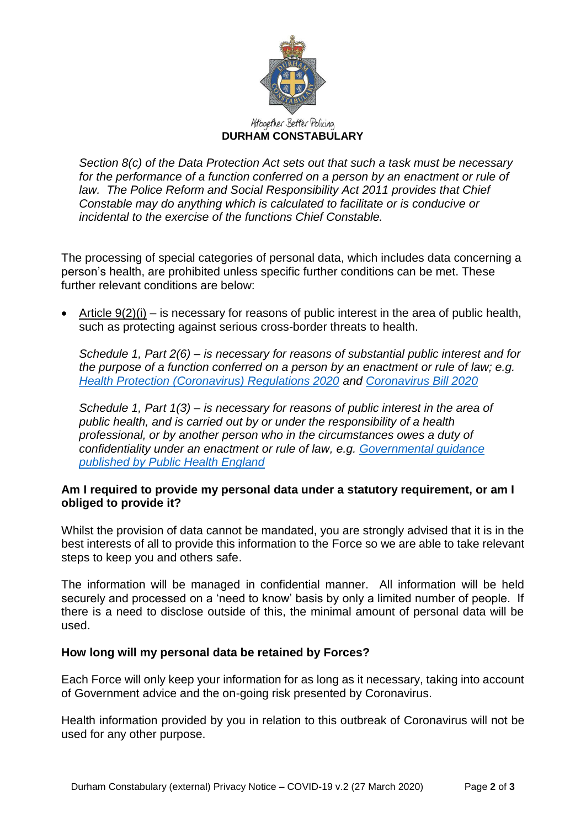

*Section 8(c) of the Data Protection Act sets out that such a task must be necessary*  for the performance of a function conferred on a person by an enactment or rule of *law. The Police Reform and Social Responsibility Act 2011 provides that Chief Constable may do anything which is calculated to facilitate or is conducive or incidental to the exercise of the functions Chief Constable.* 

The processing of special categories of personal data, which includes data concerning a person's health, are prohibited unless specific further conditions can be met. These further relevant conditions are below:

• Article  $9(2)(i)$  – is necessary for reasons of public interest in the area of public health, such as protecting against serious cross-border threats to health.

*Schedule 1, Part 2(6) – is necessary for reasons of substantial public interest and for the purpose of a function conferred on a person by an enactment or rule of law; e.g. [Health Protection \(Coronavirus\) Regulations 2020](http://www.legislation.gov.uk/uksi/2020/129/contents/made) and [Coronavirus Bill 2020](https://www.gov.uk/government/publications/coronavirus-bill-summary-of-impacts/coronavirus-bill-summary-of-impacts)*

*Schedule 1, Part 1(3) – is necessary for reasons of public interest in the area of public health, and is carried out by or under the responsibility of a health professional, or by another person who in the circumstances owes a duty of confidentiality under an enactment or rule of law, e.g. [Governmental guidance](https://www.gov.uk/government/collections/coronavirus-covid-19-list-of-guidance#guidance-for-non-clinical-settings)  [published by Public Health England](https://www.gov.uk/government/collections/coronavirus-covid-19-list-of-guidance#guidance-for-non-clinical-settings)*

### **Am I required to provide my personal data under a statutory requirement, or am I obliged to provide it?**

Whilst the provision of data cannot be mandated, you are strongly advised that it is in the best interests of all to provide this information to the Force so we are able to take relevant steps to keep you and others safe.

The information will be managed in confidential manner. All information will be held securely and processed on a 'need to know' basis by only a limited number of people. If there is a need to disclose outside of this, the minimal amount of personal data will be used.

### **How long will my personal data be retained by Forces?**

Each Force will only keep your information for as long as it necessary, taking into account of Government advice and the on-going risk presented by Coronavirus.

Health information provided by you in relation to this outbreak of Coronavirus will not be used for any other purpose.